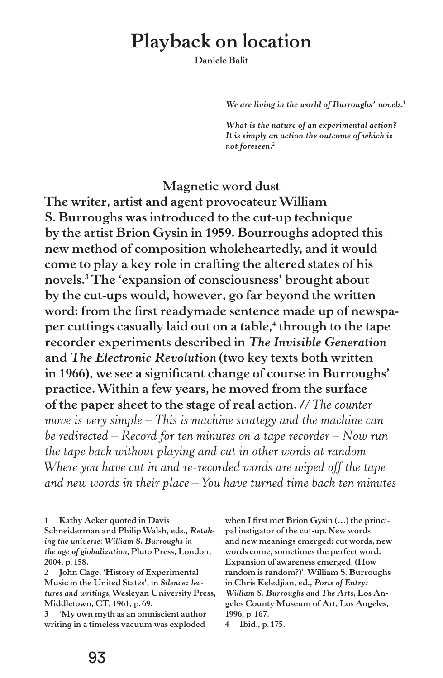# **Playback on location**

**Daniele Balit**

*We are living in the world of Burroughs' novels.***<sup>1</sup>**

*What is the nature of an experimental action? It is simply an action the outcome of which is not foreseen.***<sup>2</sup>**

#### **Magnetic word dust**

**The writer, artist and agent provocateur William S. Burroughs was introduced to the cut-up technique by the artist Brion Gysin in 1959. Bourroughs adopted this new method of composition wholeheartedly, and it would come to play a key role in crafting the altered states of his novels.3 The 'expansion of consciousness' brought about by the cut-ups would, however, go far beyond the written word: from the first readymade sentence made up of newspa**per cuttings casually laid out on a table,<sup>4</sup> through to the tape **recorder experiments described in** *The Invisible Generation* **and** *The Electronic Revolution* **(two key texts both written in 1966), we see a significant change of course in Burroughs' practice. Within a few years, he moved from the surface of the paper sheet to the stage of real action./***/The counter move is very simple – This is machine strategy and the machine can be redirected – Record for ten minutes on a tape recorder – Now run the tape back without playing and cut in other words at random – Where you have cut in and re-recorded words are wiped off the tape and new words in their place – You have turned time back ten minutes* 

**1 Kathy Acker quoted in Davis** 

**Schneiderman and Philip Walsh, eds.,** *Retaking the universe***:** *William S. Burroughs in the age of globalization***, Pluto Press, London, 2004, p. 158.**

**2 John Cage, 'History of Experimental Music in the United States', in** *Silence: lectures and writings***, Wesleyan University Press, Middletown, CT, 1961, p.69.** 

**3 'My own myth as an omniscient author writing in a timeless vacuum was exploded**  **when I first met Brion Gysin (…) the principal instigator of the cut-up. New words and new meanings emerged: cut words, new words come, sometimes the perfect word. Expansion of awareness emerged. (How random is random?)', William S. Burroughs in Chris Keledjian, ed.,** *Ports of Entry: William S. Burroughs and The Arts***, Los Angeles County Museum of Art, Los Angeles, 1996, p. 167.** 

**<sup>4</sup> Ibid., p.175.**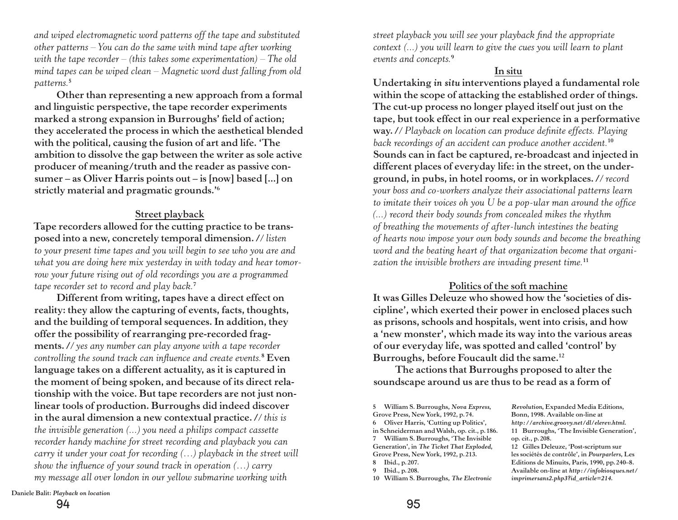*and wiped electromagnetic word patterns off the tape and substituted other patterns – You can do the same with mind tape after working with the tape recorder – (this takes some experimentation) – The old mind tapes can be wiped clean – Magnetic word dust falling from old patterns.***<sup>5</sup>**

**Other than representing a new approach from a formal and linguistic perspective, the tape recorder experiments marked a strong expansion in Burroughs' field of action; they accelerated the process in which the aesthetical blended with the political, causing the fusion of art and life. 'The ambition to dissolve the gap between the writer as sole active producer of meaning/truth and the reader as passive consumer – as Oliver Harris points out – is [now] based [...] on strictly material and pragmatic grounds.'6**

### **Street playback**

**Tape recorders allowed for the cutting practice to be transposed into a new, concretely temporal dimension./***/listen to your present time tapes and you will begin to see who you are and what you are doing here mix yesterday in with today and hear tomorrow your future rising out of old recordings you are a programmed tape recorder set to record and play back.***<sup>7</sup>**

**Different from writing, tapes have a direct effect on reality: they allow the capturing of events, facts, thoughts, and the building of temporal sequences. In addition, they offer the possibility of rearranging pre-recorded fragments./***/yes any number can play anyone with a tape recorder controlling the sound track can influence and create events.***<sup>8</sup> Even language takes on a different actuality, as it is captured in the moment of being spoken, and because of its direct relationship with the voice. But tape recorders are not just nonlinear tools of production. Burroughs did indeed discover in the aural dimension a new contextual practice./***/this is the invisible generation (...) you need a philips compact cassette recorder handy machine for street recording and playback you can carry it under your coat for recording (…) playback in the street will show the influence of your sound track in operation (…) carry my message all over london in our yellow submarine working with* 

*street playback you will see your playback find the appropriate context (...) you will learn to give the cues you will learn to plant events and concepts.***<sup>9</sup>**

#### **In situ**

**Undertaking** *in situ* **interventions played a fundamental role within the scope of attacking the established order of things. The cut-up process no longer played itself out just on the tape, but took effect in our real experience in a performative way./***/Playback on location can produce definite effects. Playing back recordings of an accident can produce another accident.***<sup>10</sup> Sounds can in fact be captured, re-broadcast and injected in different places of everyday life: in the street, on the underground, in pubs, in hotel rooms, or in workplaces./***/record your boss and co-workers analyze their associational patterns learn to imitate their voices oh you U be a pop-ular man around the office (...) record their body sounds from concealed mikes the rhythm of breathing the movements of after-lunch intestines the beating of hearts now impose your own body sounds and become the breathing word and the beating heart of that organization become that organization the invisible brothers are invading present time.***<sup>11</sup>**

#### **Politics of the soft machine**

**It was Gilles Deleuze who showed how the 'societies of discipline', which exerted their power in enclosed places such as prisons, schools and hospitals, went into crisis, and how a 'new monster', which made its way into the various areas of our everyday life, was spotted and called 'control' by Burroughs, before Foucault did the same.12**

**The actions that Burroughs proposed to alter the soundscape around us are thus to be read as a form of** 

**5 William S. Burroughs,** *Nova Express***, Grove Press, New York, 1992, p. 74. 6 Oliver Harris, 'Cutting up Politics', in Schneiderman and Walsh, op. cit., p. 186. 7 William S. Burroughs, 'The Invisible Generation', in** *The Ticket That Exploded***, Grove Press, New York, 1992, p. 213. 8 Ibid., p. 207.**

**10 William S. Burroughs,** *The Electronic* 

*Revolution***, Expanded Media Editions, Bonn, 1998. Available on-line at**  *http://archive.groovy.net/dl/elerev.html***. 11 Burroughs, 'The Invisible Generation', op. cit., p. 208.**

**12 Gilles Deleuze, 'Post-scriptum sur les sociétés de contrôle', in** *Pourparlers***, Les Editions de Minuits, Paris, 1990, pp. 240–8. Available on-line at** *http://infokiosques.net/ imprimersans2.php3?id\_article=214***.**

**Daniele Balit:** *Playback on location*

94 95

**<sup>9</sup> Ibid., p. 208.**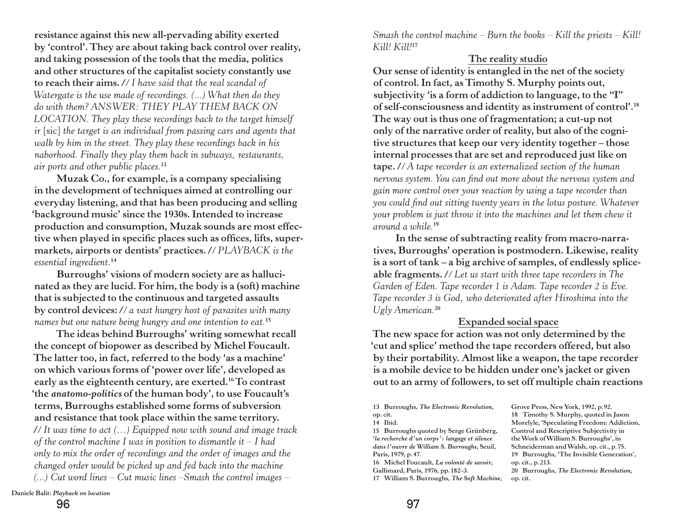**resistance against this new all-pervading ability exerted by 'control'. They are about taking back control over reality, and taking possession of the tools that the media, politics and other structures of the capitalist society constantly use to reach their aims./***/I have said that the real scandal of Watergate is the use made of recordings. (...) What then do they do with them? ANSWER: THEY PLAY THEM BACK ON LOCATION. They play these recordings back to the target himself ir* [sic] *the target is an individual from passing cars and agents that walk by him in the street. They play these recordings back in his naborhood. Finally they play them back in subways, restaurants, air ports and other public places.***<sup>13</sup>**

**Muzak Co., for example, is a company specialising in the development of techniques aimed at controlling our everyday listening, and that has been producing and selling 'background music' since the 1930s. Intended to increase production and consumption, Muzak sounds are most effective when played in specific places such as offices, lifts, supermarkets, airports or dentists' practices./***/PLAYBACK is the essential ingredient.***<sup>14</sup>**

**Burroughs' visions of modern society are as hallucinated as they are lucid. For him, the body is a (soft) machine that is subjected to the continuous and targeted assaults by control devices:/***/a vast hungry host of parasites with many names but one nature being hungry and one intention to eat.***<sup>15</sup>**

**The ideas behind Burroughs' writing somewhat recall the concept of biopower as described by Michel Foucault. The latter too, in fact, referred to the body 'as a machine' on which various forms of 'power over life', developed as early as the eighteenth century, are exerted.16 To contrast 'the** *anatomo-politics* **of the human body', to use Foucault's terms, Burroughs established some forms of subversion and resistance that took place within the same territory. /***/It was time to act (…) Equipped now with sound and image track of the control machine I was in position to dismantle it – I had only to mix the order of recordings and the order of images and the changed order would be picked up and fed back into the machine (...) Cut word lines – Cut music lines –Smash the control images –* 

*Smash the control machine – Burn the books – Kill the priests – Kill! Kill! Kill!***<sup>17</sup>**

### **The reality studio**

**Our sense of identity is entangled in the net of the society of control. In fact, as Timothy S. Murphy points out, subjectivity 'is a form of addiction to language, to the "I" of self-consciousness and identity as instrument of control'.18 The way out is thus one of fragmentation; a cut-up not only of the narrative order of reality, but also of the cognitive structures that keep our very identity together – those internal processes that are set and reproduced just like on tape./***/A tape recorder is an externalized section of the human nervous system. You can find out more about the nervous system and gain more control over your reaction by using a tape recorder than you could find out sitting twenty years in the lotus posture. Whatever your problem is just throw it into the machines and let them chew it around a while.***<sup>19</sup>**

**In the sense of subtracting reality from macro-narratives, Burroughs' operation is postmodern. Likewise, reality is a sort of tank – a big archive of samples, of endlessly spliceable fragments./***/Let us start with three tape recorders in The Garden of Eden. Tape recorder 1 is Adam. Tape recorder 2 is Eve. Tape recorder 3 is God, who deteriorated after Hiroshima into the Ugly American.***<sup>20</sup>**

## **Expanded social space**

**The new space for action was not only determined by the 'cut and splice' method the tape recorders offered, but also by their portability. Almost like a weapon, the tape recorder is a mobile device to be hidden under one's jacket or given out to an army of followers, to set off multiple chain reactions** 

**13 Burroughs,** *The Electronic Revolution***, op. cit.**

**14 Ibid.**

**15 Burroughs quoted by Serge Grünberg, '***la recherche d'un corps': langage et silence dans l'ouvre de William S. Burroughs***, Seuil, Paris, 1979, p.47.** 

**16 Michel Foucault,** *La volonté de savoir***, Gallimard, Paris, 1976, pp.182–3.**

**17 William S. Burroughs,** *The Soft Machine***,** 

**Grove Press, New York, 1992, p. 92. 18 Timothy S. Murphy, quoted in Jason Morelyle, 'Speculating Freedom: Addiction, Control and Rescriptive Subjectivity in the Work of William S. Burroughs', in Schneiderman and Walsh, op. cit., p. 75. 19 Burroughs, 'The Invisible Generation', op. cit., p. 213. 20 Burroughs,** *The Electronic Revolution***, op. cit.**

**Daniele Balit:** *Playback on location*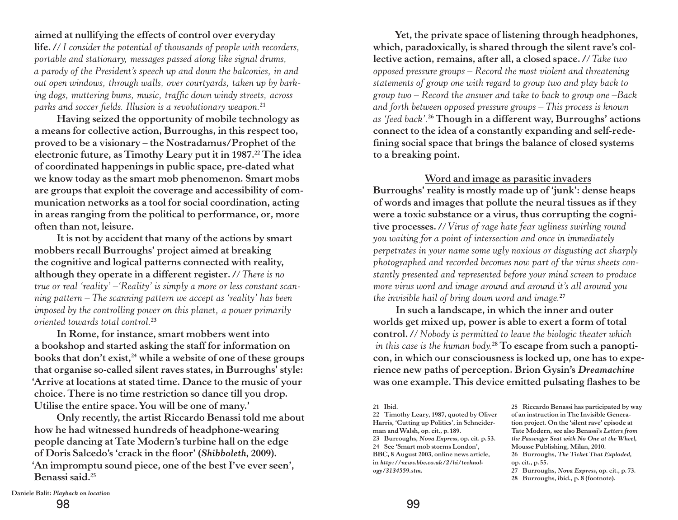**aimed at nullifying the effects of control over everyday life./***/I consider the potential of thousands of people with recorders, portable and stationary, messages passed along like signal drums, a parody of the President's speech up and down the balconies, in and out open windows, through walls, over courtyards, taken up by barking dogs, muttering bums, music, traffic down windy streets, across parks and soccer fields. Illusion is a revolutionary weapon.***<sup>21</sup>**

**Having seized the opportunity of mobile technology as a means for collective action, Burroughs, in this respect too, proved to be a visionary – the Nostradamus/Prophet of the electronic future, as Timothy Leary put it in 1987.22 The idea of coordinated happenings in public space, pre-dated what we know today as the smart mob phenomenon. Smart mobs are groups that exploit the coverage and accessibility of communication networks as a tool for social coordination, acting in areas ranging from the political to performance, or, more often than not, leisure.** 

**It is not by accident that many of the actions by smart mobbers recall Burroughs' project aimed at breaking the cognitive and logical patterns connected with reality, although they operate in a different register./***/There is no true or real 'reality' –'Reality' is simply a more or less constant scanning pattern – The scanning pattern we accept as 'reality' has been imposed by the controlling power on this planet, a power primarily oriented towards total control.***<sup>23</sup>**

**In Rome, for instance, smart mobbers went into a bookshop and started asking the staff for information on**  books that don't exist,<sup>24</sup> while a website of one of these groups **that organise so-called silent raves states, in Burroughs' style: 'Arrive at locations at stated time. Dance to the music of your choice. There is no time restriction so dance till you drop. Utilise the entire space. You will be one of many.'**

**Only recently, the artist Riccardo Benassi told me about how he had witnessed hundreds of headphone-wearing people dancing at Tate Modern's turbine hall on the edge of Doris Salcedo's 'crack in the floor' (***Shibboleth***, 2009). 'An impromptu sound piece, one of the best I've ever seen', Benassi said.25**

**Yet, the private space of listening through headphones, which, paradoxically, is shared through the silent rave's collective action, remains, after all, a closed space./***/Take two opposed pressure groups – Record the most violent and threatening statements of group one with regard to group two and play back to group two – Record the answer and take to back to group one –Back and forth between opposed pressure groups – This process is known as 'feed back'.***26 Though in a different way, Burroughs' actions connect to the idea of a constantly expanding and self-redefining social space that brings the balance of closed systems to a breaking point.** 

### **Word and image as parasitic invaders**

**Burroughs' reality is mostly made up of 'junk': dense heaps of words and images that pollute the neural tissues as if they were a toxic substance or a virus, thus corrupting the cognitive processes./***/Virus of rage hate fear ugliness swirling round you waiting for a point of intersection and once in immediately perpetrates in your name some ugly noxious or disgusting act sharply photographed and recorded becomes now part of the virus sheets constantly presented and represented before your mind screen to produce more virus word and image around and around it's all around you the invisible hail of bring down word and image.***<sup>27</sup>**

**In such a landscape, in which the inner and outer worlds get mixed up, power is able to exert a form of total**  control. // Nobody is permitted to leave the biologic theater which  *in this case is the human body.***28 To escape from such a panopticon, in which our consciousness is locked up, one has to experience new paths of perception. Brion Gysin's** *Dreamachine*  **was one example. This device emitted pulsating flashes to be** 

**22 Timothy Leary, 1987, quoted by Oliver Harris, 'Cutting up Politics', in Schneiderman and Walsh, op. cit., p.189. 23 Burroughs,** *Nova Express***, op. cit. p. 53. 24 See 'Smart mob storms London', BBC, 8 August 2003, online news article, in** *http://news.bbc.co.uk/2/hi/technology/3134559.stm***.**

**25 Riccardo Benassi has participated by way of an instruction in The Invisible Generation project. On the 'silent rave' episode at Tate Modern, see also Benassi's** *Letters from the Passenger Seat with No One at the Wheel***, Mousse Publishing, Milan, 2010. 26 Burroughs,** *The Ticket That Exploded***, op. cit., p. 55. 27 Burroughs,** *Nova Express***, op. cit., p. 73. 28 Burroughs, ibid., p. 8 (footnote).**

**<sup>21</sup> Ibid.**

**Daniele Balit:** *Playback on location*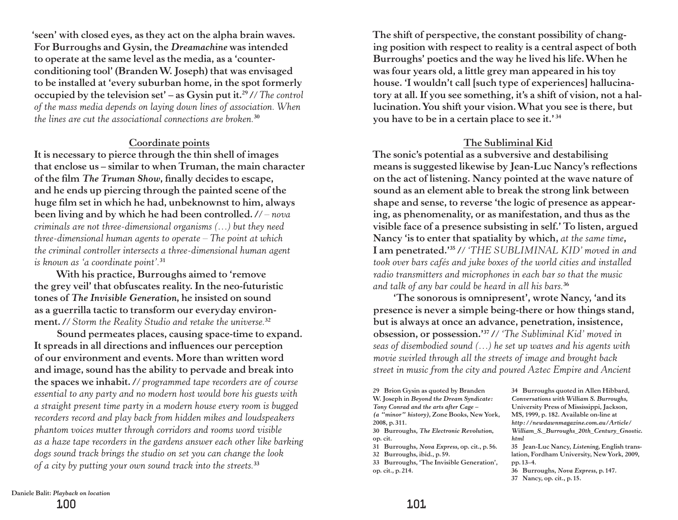**'seen' with closed eyes, as they act on the alpha brain waves. For Burroughs and Gysin, the** *Dreamachine* **was intended to operate at the same level as the media, as a 'counterconditioning tool' (Branden W. Joseph) that was envisaged to be installed at 'every suburban home, in the spot formerly occupied by the television set' – as Gysin put it.29/***/The control of the mass media depends on laying down lines of association. When the lines are cut the associational connections are broken.***<sup>30</sup>**

#### **Coordinate points**

**It is necessary to pierce through the thin shell of images that enclose us – similar to when Truman, the main character of the film** *The Truman Show***, finally decides to escape, and he ends up piercing through the painted scene of the huge film set in which he had, unbeknownst to him, always been living and by which he had been controlled./***/ – nova criminals are not three-dimensional organisms (…) but they need three-dimensional human agents to operate – The point at which the criminal controller intersects a three-dimensional human agent is known as 'a coordinate point'.***<sup>31</sup>**

**With his practice, Burroughs aimed to 'remove the grey veil' that obfuscates reality. In the neo-futuristic tones of** *The Invisible Generation***, he insisted on sound as a guerrilla tactic to transform our everyday environment./***/Storm the Reality Studio and retake the universe.***<sup>32</sup>**

**Sound permeates places, causing space-time to expand. It spreads in all directions and influences our perception of our environment and events. More than written word and image, sound has the ability to pervade and break into**  the spaces we inhabit. // programmed tape recorders are of course *essential to any party and no modern host would bore his guests with a straight present time party in a modern house every room is bugged recorders record and play back from hidden mikes and loudspeakers phantom voices mutter through corridors and rooms word visible as a haze tape recorders in the gardens answer each other like barking dogs sound track brings the studio on set you can change the look of a city by putting your own sound track into the streets.***<sup>33</sup>**

**The shift of perspective, the constant possibility of changing position with respect to reality is a central aspect of both Burroughs' poetics and the way he lived his life. When he was four years old, a little grey man appeared in his toy house. 'I wouldn't call [such type of experiences] hallucinatory at all. If you see something, it's a shift of vision, not a hallucination. You shift your vision. What you see is there, but you have to be in a certain place to see it.' <sup>34</sup>**

#### **The Subliminal Kid**

**The sonic's potential as a subversive and destabilising means is suggested likewise by Jean-Luc Nancy's reflections on the act of listening. Nancy pointed at the wave nature of sound as an element able to break the strong link between shape and sense, to reverse 'the logic of presence as appearing, as phenomenality, or as manifestation, and thus as the visible face of a presence subsisting in self.' To listen, argued Nancy 'is to enter that spatiality by which,** *at the same time***, I am penetrated.'35/***/'THE SUBLIMINAL KID' moved in and took over bars cafés and juke boxes of the world cities and installed radio transmitters and microphones in each bar so that the music and talk of any bar could be heard in all his bars.***<sup>36</sup>**

**'The sonorous is omnipresent', wrote Nancy, 'and its presence is never a simple being-there or how things stand, but is always at once an advance, penetration, insistence, obsession, or possession.'37/***/'The Subliminal Kid' moved in seas of disembodied sound (…) he set up waves and his agents with movie swirled through all the streets of image and brought back street in music from the city and poured Aztec Empire and Ancient* 

**29 Brion Gysin as quoted by Branden W. Joseph in** *Beyond the Dream Syndicate: Tony Conrad and the arts after Cage – (a "minor" history)***, Zone Books, New York, 2008, p.311.** 

**30 Burroughs,** *The Electronic Revolution***, op. cit.** 

**31 Burroughs,** *Nova Express***, op. cit., p. 56.**

**32 Burroughs, ibid., p. 59.**

**33 Burroughs, 'The Invisible Generation', op. cit., p.214.**

**34 Burroughs quoted in Allen Hibbard,**  *Conversations with William S. Burroughs***, University Press of Mississippi, Jackson, MS, 1999, p. 182. Available on-line at**  *http://newdawnmagazine.com.au/Article/ William\_S.\_Burroughs\_20th\_Century\_Gnostic. html*

**35 Jean-Luc Nancy,** *Listening***, English translation, Fordham University, New York, 2009, pp. 13–4.**

**36 Burroughs,** *Nova Express***, p.147.**

**37 Nancy, op. cit., p.15.**